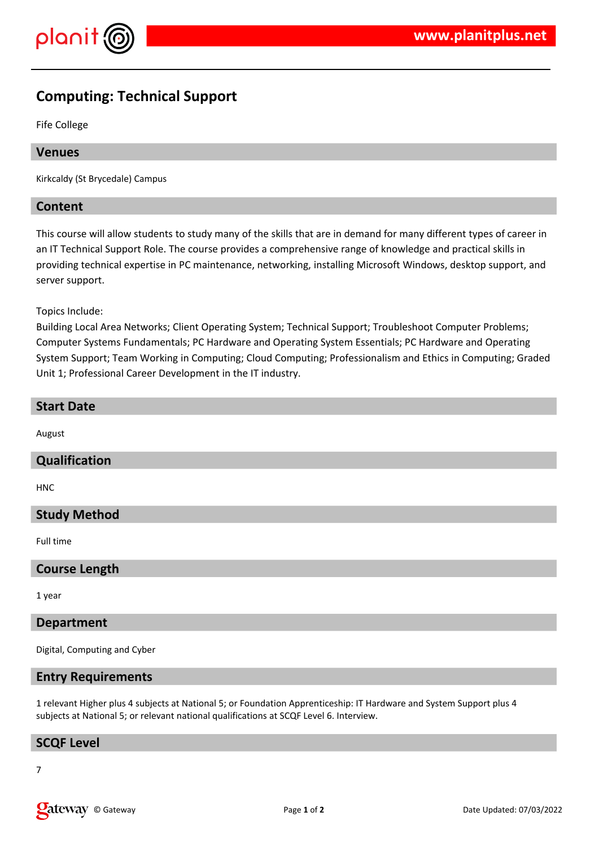

# **Computing: Technical Support**

Fife College

# **Venues**

Kirkcaldy (St Brycedale) Campus

## **Content**

This course will allow students to study many of the skills that are in demand for many different types of career in an IT Technical Support Role. The course provides a comprehensive range of knowledge and practical skills in providing technical expertise in PC maintenance, networking, installing Microsoft Windows, desktop support, and server support.

Topics Include:

Building Local Area Networks; Client Operating System; Technical Support; Troubleshoot Computer Problems; Computer Systems Fundamentals; PC Hardware and Operating System Essentials; PC Hardware and Operating System Support; Team Working in Computing; Cloud Computing; Professionalism and Ethics in Computing; Graded Unit 1; Professional Career Development in the IT industry.

#### **Start Date**

August

#### **Qualification**

HNC

# **Study Method**

Full time

#### **Course Length**

1 year

#### **Department**

Digital, Computing and Cyber

#### **Entry Requirements**

1 relevant Higher plus 4 subjects at National 5; or Foundation Apprenticeship: IT Hardware and System Support plus 4 subjects at National 5; or relevant national qualifications at SCQF Level 6. Interview.

#### **SCQF Level**